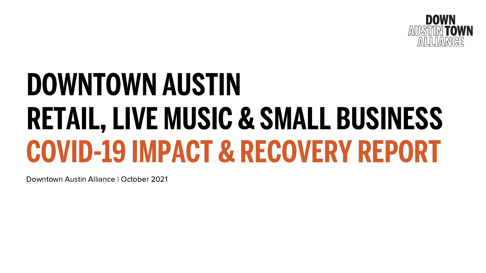# DOWNTOWN AUSTIN RETAIL, LIVE MUSIC & SMALL BUSINESS COVID-19 IMPACT & RECOVERY REPORT

Downtown Austin Alliance | October 2021

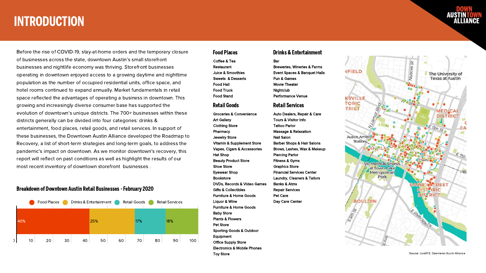## INTRODUCTION

Before the rise of COVID-19, stay-at-home orders and the temporary closure **Food Places** of businesses across the state, downtown Austin's small storefront businesses and nightlife economy was thriving. Storefront businesses operating in downtown enjoyed access to a growing daytime and nighttime population as the number of occupied residential units, office space, and hotel rooms continued to expand annually. Market fundamentals in retail space reflected the advantages of operating a business in downtown. This growing and increasingly diverse consumer base has supported the evolution of downtown's unique districts. The 700+ businesses within these districts generally can be divided into four categories: drinks & entertainment, food places, retail goods, and retail services. In support of these businesses, the Downtown Austin Alliance developed the Roadmap to Recovery, a list of short-term strategies and long-term goals, to address the pandemic's impact on downtown. As we monitor downtown's recovery, this report will reflect on past conditions as well as highlight the results of our most recent inventory of downtown storefront businesses .

Coffee & Tea Restaurant Juice & Smoothies Sweets & Desserts Food Hall Food Truck Food Stand

Bar Breweries, Wineries & Farms Event Spaces & Banquet Halls Fun & Games Movie Theater **Nightclub** Performance Venue

### Drinks & Entertainment

Groceries & Convenience Art Gallery Clothing Store **Pharmacy** Jewelry Store Vitamin & Supplement Store Vapes, Cigars & Accessories Hat Shop Beauty Product Store Shoe Store Eyewear Shop Bookstore DVDs, Records & Video Games Gifts & Collectibles Furniture & Home Goods Liquor & Wine Furniture & Home Goods Baby Store Plants & Flowers Pet Store Sporting Goods & Outdoor Equipment Office Supply Store Electronics & Mobile Phones Toy Store

### Retail Goods

Auto Dealers, Repair & Care

Barber Shops & Hair Salons Brows, Lashes, Wax & Makeup

Tours & Visitor Info Tattoo Parlor Massage & Relaxation Nail Salon Piercing Parlor Fitness & Gyms Graphics Store Banks & Atms Repair Services Pet Care Day Care Center



- 
- Financial Services Center
- Laundry, Cleaners & Tailors
	-
	-
	-



### Retail Services



### Breakdown of Downtown Austin Retail Businesses- February 2020

Source: LiveXYZ, Downtown Austin Alliance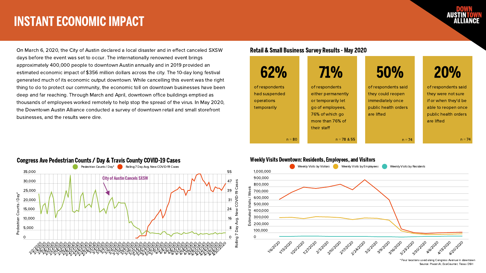On March 6, 2020, the City of Austin declared a local disaster and in effect canceled SXSW days before the event was set to occur. The internationally renowned event brings approximately 400,000 people to downtown Austin annually and in 2019 provided an estimated economic impact of \$356 million dollars across the city. The 10-day long festival generated much of its economic output downtown. While cancelling this event was the right thing to do to protect our community, the economic toll on downtown businesses have been deep and far reaching. Through March and April, downtown office buildings emptied as thousands of employees worked remotely to help stop the spread of the virus. In May 2020, the Downtown Austin Alliance conducted a survey of downtown retail and small storefront businesses, and the results were dire.

> \* Four locations used along Congress Avenue in Source: Placer.AI, EcoCounter, Texas DSH

## INSTANT ECONOMIC IMPACT

### Retail & Small Business Survey Results- May 2020

of respondents had suspended operations temporarily





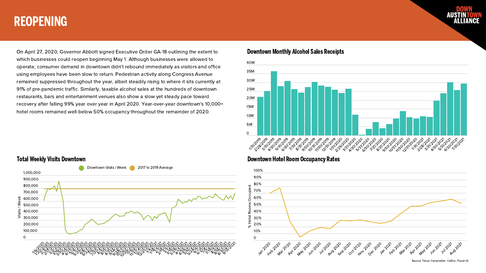## REOPENING

On April 27, 2020, Governor Abbott signed Executive Order GA-18 outlining the extent to which businesses could reopen beginning May 1. Although businesses were allowed to operate, consumer demand in downtown didn't rebound immediately as visitors and office using employees have been slow to return. Pedestrian activity along Congress Avenue remained suppressed throughout the year, albeit steadily rising to where it sits currently at 91% of pre-pandemic traffic. Similarly, taxable alcohol sales at the hundreds of downtown restaurants, bars and entertainment venues also show a slow yet steady pace toward recovery after falling 99% year over year in April 2020. Year-over-year downtown's 10,000+ hotel rooms remained well-below 50% occupancy throughout the remainder of 2020.

Source: Texas Comptroller, CoStar, Placer.AI



### Total Weekly Visits Downtown



## Downtown Monthly Alcohol Sales Receipts



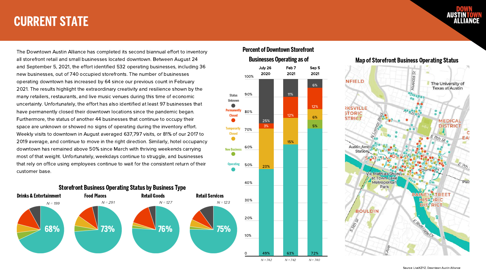## CURRENT STATE

The Downtown Austin Alliance has completed its second biannual effort to inventory all storefront retail and small businesses located downtown. Between August 24 and September 5, 2021, the effort identified 532 operating businesses, including 36 new businesses, out of 740 occupied storefronts. The number of businesses operating downtown has increased by 64 since our previous count in February 2021. The results highlight the extraordinary creativity and resilience shown by the many retailers, restaurants, and live music venues during this time of economic uncertainty. Unfortunately, the effort has also identified at least 97 businesses that have permanently closed their downtown locations since the pandemic began. Furthermore, the status of another 44 businesses that continue to occupy their space are unknown or showed no signs of operating during the inventory effort. Weekly visits to downtown in August averaged 637,797 visits, or 81% of our 2017 to 2019 average, and continue to move in the right direction. Similarly, hotel occupancy downtown has remained above 50% since March with thriving weekends carrying most of that weight. Unfortunately, weekdays continue to struggle, and businesses that rely on office using employees continue to wait for the consistent return of their customer base.







## **Percent of Downtown Storefront Businesses Operating as of**



### Map of Storefront Business Operating Status

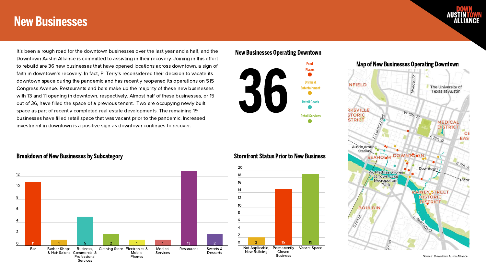

## New Businesses

It's been a rough road for the downtown businesses over the last year and a half, and the Downtown Austin Alliance is committed to assisting in their recovery. Joining in this effort to rebuild are 36 new businesses that have opened locations across downtown, a sign of faith in downtown's recovery. In fact, P. Terry's reconsidered their decision to vacate its downtown space during the pandemic and has recently reopened its operations on 515 Congress Avenue. Restaurants and bars make up the majority of these new businesses with 13 and 11 opening in downtown, respectively. Almost half of these businesses, or 15 out of 36, have filled the space of a previous tenant. Two are occupying newly built space as part of recently completed real estate developments. The remaining 19 businesses have filled retail space that was vacant prior to the pandemic. Increased investment in downtown is a positive sign as downtown continues to recover.





## Storefront Status Prior to New Business

### New Businesses Operating Downtown

Source: Downtown Austin Alliance



### Breakdown of New Businesses by Subcategory



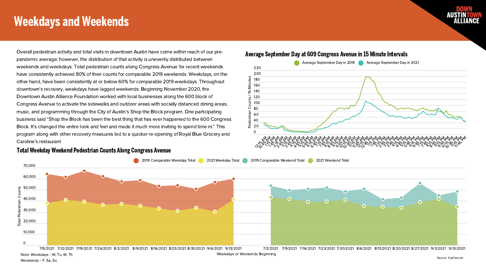## Weekdays and Weekends

Source: EcoCounter



Overall pedestrian activity and total visits in downtown Austin have come within reach of our pre-



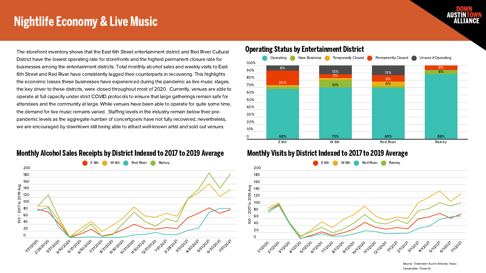## Nightlife Economy & Live Music





The storefront inventory shows that the East 6th Street entertainment district and Red River Cultural District have the lowest operating rate for storefronts and the highest permanent closure rate for businesses among the entertainment districts. Total monthly alcohol sales and weekly visits to East 6th Street and Red River have consistently lagged their counterparts in recovering. This highlights the economic losses these businesses have experienced during the pandemic as live music stages, the key driver to these districts, were closed throughout most of 2020. Currently, venues are able to operate at full capacity under strict COVID protocols to ensure that large gatherings remain safe for attendees and the community at large. While venues have been able to operate for quite some time, the demand for live music remains varied. Staffing levels in the industry remain below their prepandemic levels as the aggregate number of concertgoers have not fully recovered, nevertheless, we are encouraged by downtown still being able to attract well-known artist and sold out venues.





## Monthly Alcohol Sales Receipts by District Indexed to 2017 to 2019 Average

Source: Downtown Austin Alliance, Texas Comptroller, Placer.AI